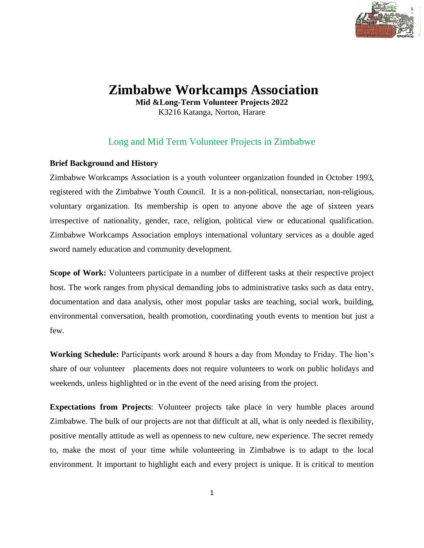

# **Zimbabwe Workcamps Association**

**Mid &Long-Term Volunteer Projects 2022** K3216 Katanga, Norton, Harare

# Long and Mid Term Volunteer Projects in Zimbabwe

# **Brief Background and History**

Zimbabwe Workcamps Association is a youth volunteer organization founded in October 1993, registered with the Zimbabwe Youth Council. It is a non-political, nonsectarian, non-religious, voluntary organization. Its membership is open to anyone above the age of sixteen years irrespective of nationality, gender, race, religion, political view or educational qualification. Zimbabwe Workcamps Association employs international voluntary services as a double aged sword namely education and community development.

**Scope of Work:** Volunteers participate in a number of different tasks at their respective project host. The work ranges from physical demanding jobs to administrative tasks such as data entry, documentation and data analysis, other most popular tasks are teaching, social work, building, environmental conversation, health promotion, coordinating youth events to mention but just a few.

**Working Schedule:** Participants work around 8 hours a day from Monday to Friday. The lion's share of our volunteer placements does not require volunteers to work on public holidays and weekends, unless highlighted or in the event of the need arising from the project.

**Expectations from Projects**: Volunteer projects take place in very humble places around Zimbabwe. The bulk of our projects are not that difficult at all, what is only needed is flexibility, positive mentally attitude as well as openness to new culture, new experience. The secret remedy to, make the most of your time while volunteering in Zimbabwe is to adapt to the local environment. It important to highlight each and every project is unique. It is critical to mention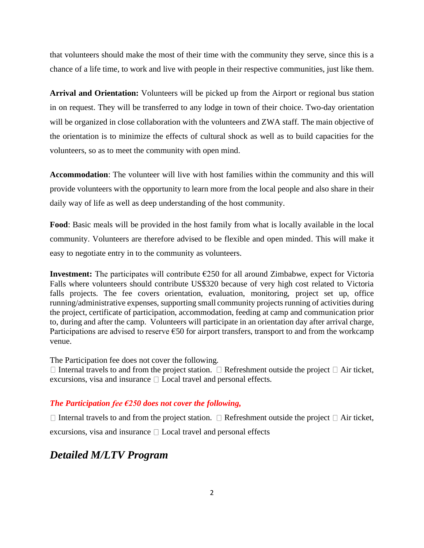that volunteers should make the most of their time with the community they serve, since this is a chance of a life time, to work and live with people in their respective communities, just like them.

**Arrival and Orientation:** Volunteers will be picked up from the Airport or regional bus station in on request. They will be transferred to any lodge in town of their choice. Two-day orientation will be organized in close collaboration with the volunteers and ZWA staff. The main objective of the orientation is to minimize the effects of cultural shock as well as to build capacities for the volunteers, so as to meet the community with open mind.

**Accommodation**: The volunteer will live with host families within the community and this will provide volunteers with the opportunity to learn more from the local people and also share in their daily way of life as well as deep understanding of the host community.

**Food**: Basic meals will be provided in the host family from what is locally available in the local community. Volunteers are therefore advised to be flexible and open minded. This will make it easy to negotiate entry in to the community as volunteers.

**Investment:** The participates will contribute €250 for all around Zimbabwe, expect for Victoria Falls where volunteers should contribute US\$320 because of very high cost related to Victoria falls projects. The fee covers orientation, evaluation, monitoring, project set up, office running/administrative expenses, supporting small community projects running of activities during the project, certificate of participation, accommodation, feeding at camp and communication prior to, during and after the camp. Volunteers will participate in an orientation day after arrival charge, Participations are advised to reserve  $\epsilon$ 50 for airport transfers, transport to and from the workcamp venue.

The Participation fee does not cover the following.

 $\Box$  Internal travels to and from the project station.  $\Box$  Refreshment outside the project  $\Box$  Air ticket, excursions, visa and insurance  $\Box$  Local travel and personal effects.

### *The Participation fee €250 does not cover the following,*

 $\Box$  Internal travels to and from the project station.  $\Box$  Refreshment outside the project  $\Box$  Air ticket, excursions, visa and insurance  $\Box$  Local travel and personal effects

# *Detailed M/LTV Program*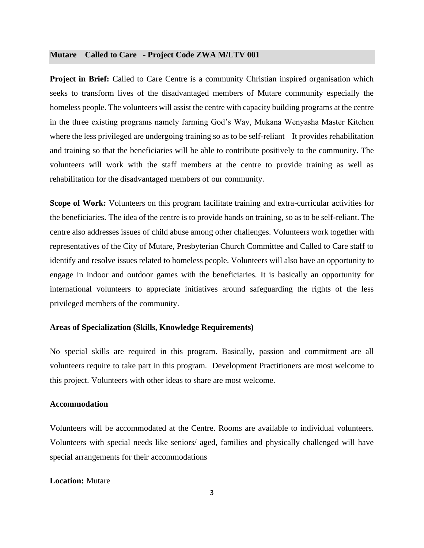#### **Mutare Called to Care - Project Code ZWA M/LTV 001**

**Project in Brief:** Called to Care Centre is a community Christian inspired organisation which seeks to transform lives of the disadvantaged members of Mutare community especially the homeless people. The volunteers will assist the centre with capacity building programs at the centre in the three existing programs namely farming God's Way, Mukana Wenyasha Master Kitchen where the less privileged are undergoing training so as to be self-reliant It provides rehabilitation and training so that the beneficiaries will be able to contribute positively to the community. The volunteers will work with the staff members at the centre to provide training as well as rehabilitation for the disadvantaged members of our community.

**Scope of Work:** Volunteers on this program facilitate training and extra-curricular activities for the beneficiaries. The idea of the centre is to provide hands on training, so as to be self-reliant. The centre also addresses issues of child abuse among other challenges. Volunteers work together with representatives of the City of Mutare, Presbyterian Church Committee and Called to Care staff to identify and resolve issues related to homeless people. Volunteers will also have an opportunity to engage in indoor and outdoor games with the beneficiaries. It is basically an opportunity for international volunteers to appreciate initiatives around safeguarding the rights of the less privileged members of the community.

#### **Areas of Specialization (Skills, Knowledge Requirements)**

No special skills are required in this program. Basically, passion and commitment are all volunteers require to take part in this program. Development Practitioners are most welcome to this project. Volunteers with other ideas to share are most welcome.

#### **Accommodation**

Volunteers will be accommodated at the Centre. Rooms are available to individual volunteers. Volunteers with special needs like seniors/ aged, families and physically challenged will have special arrangements for their accommodations

#### **Location:** Mutare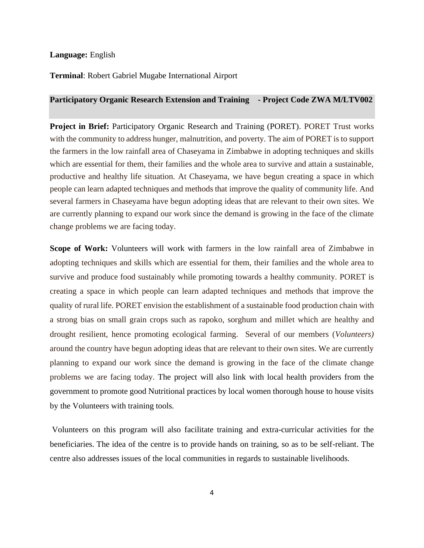#### **Language:** English

#### **Terminal**: Robert Gabriel Mugabe International Airport

#### **Participatory Organic Research Extension and Training - Project Code ZWA M/LTV002**

**Project in Brief:** Participatory Organic Research and Training (PORET). PORET Trust works with the community to address hunger, malnutrition, and poverty. The aim of PORET is to support the farmers in the low rainfall area of Chaseyama in Zimbabwe in adopting techniques and skills which are essential for them, their families and the whole area to survive and attain a sustainable, productive and healthy life situation. At Chaseyama, we have begun creating a space in which people can learn adapted techniques and methods that improve the quality of community life. And several farmers in Chaseyama have begun adopting ideas that are relevant to their own sites. We are currently planning to expand our work since the demand is growing in the face of the climate change problems we are facing today.

**Scope of Work:** Volunteers will work with farmers in the low rainfall area of Zimbabwe in adopting techniques and skills which are essential for them, their families and the whole area to survive and produce food sustainably while promoting towards a healthy community. PORET is creating a space in which people can learn adapted techniques and methods that improve the quality of rural life. PORET envision the establishment of a sustainable food production chain with a strong bias on small grain crops such as rapoko, sorghum and millet which are healthy and drought resilient, hence promoting ecological farming. Several of our members (*Volunteers)* around the country have begun adopting ideas that are relevant to their own sites. We are currently planning to expand our work since the demand is growing in the face of the climate change problems we are facing today. The project will also link with local health providers from the government to promote good Nutritional practices by local women thorough house to house visits by the Volunteers with training tools.

Volunteers on this program will also facilitate training and extra-curricular activities for the beneficiaries. The idea of the centre is to provide hands on training, so as to be self-reliant. The centre also addresses issues of the local communities in regards to sustainable livelihoods.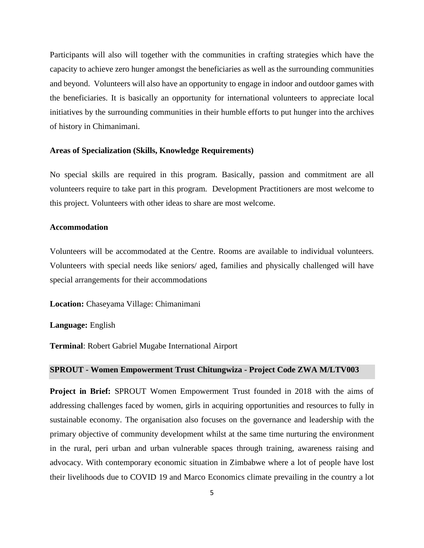Participants will also will together with the communities in crafting strategies which have the capacity to achieve zero hunger amongst the beneficiaries as well as the surrounding communities and beyond. Volunteers will also have an opportunity to engage in indoor and outdoor games with the beneficiaries. It is basically an opportunity for international volunteers to appreciate local initiatives by the surrounding communities in their humble efforts to put hunger into the archives of history in Chimanimani.

#### **Areas of Specialization (Skills, Knowledge Requirements)**

No special skills are required in this program. Basically, passion and commitment are all volunteers require to take part in this program. Development Practitioners are most welcome to this project. Volunteers with other ideas to share are most welcome.

#### **Accommodation**

Volunteers will be accommodated at the Centre. Rooms are available to individual volunteers. Volunteers with special needs like seniors/ aged, families and physically challenged will have special arrangements for their accommodations

**Location:** Chaseyama Village: Chimanimani

**Language:** English

**Terminal**: Robert Gabriel Mugabe International Airport

#### **SPROUT - Women Empowerment Trust Chitungwiza - Project Code ZWA M/LTV003**

**Project in Brief:** SPROUT Women Empowerment Trust founded in 2018 with the aims of addressing challenges faced by women, girls in acquiring opportunities and resources to fully in sustainable economy. The organisation also focuses on the governance and leadership with the primary objective of community development whilst at the same time nurturing the environment in the rural, peri urban and urban vulnerable spaces through training, awareness raising and advocacy. With contemporary economic situation in Zimbabwe where a lot of people have lost their livelihoods due to COVID 19 and Marco Economics climate prevailing in the country a lot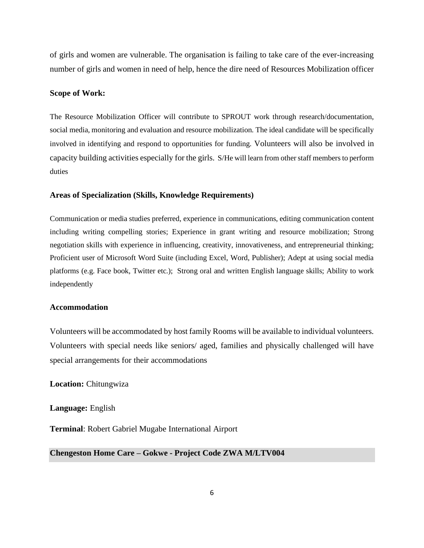of girls and women are vulnerable. The organisation is failing to take care of the ever-increasing number of girls and women in need of help, hence the dire need of Resources Mobilization officer

#### **Scope of Work:**

The Resource Mobilization Officer will contribute to SPROUT work through research/documentation, social media, monitoring and evaluation and resource mobilization. The ideal candidate will be specifically involved in identifying and respond to opportunities for funding. Volunteers will also be involved in capacity building activities especially for the girls. S/He will learn from other staff members to perform duties

#### **Areas of Specialization (Skills, Knowledge Requirements)**

Communication or media studies preferred, experience in communications, editing communication content including writing compelling stories; Experience in grant writing and resource mobilization; Strong negotiation skills with experience in influencing, creativity, innovativeness, and entrepreneurial thinking; Proficient user of Microsoft Word Suite (including Excel, Word, Publisher); Adept at using social media platforms (e.g. Face book, Twitter etc.); Strong oral and written English language skills; Ability to work independently

#### **Accommodation**

Volunteers will be accommodated by host family Rooms will be available to individual volunteers. Volunteers with special needs like seniors/ aged, families and physically challenged will have special arrangements for their accommodations

**Location:** Chitungwiza

**Language:** English

**Terminal**: Robert Gabriel Mugabe International Airport

#### **Chengeston Home Care – Gokwe - Project Code ZWA M/LTV004**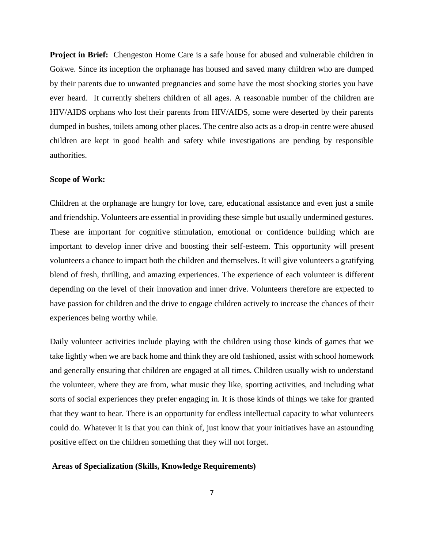**Project in Brief:** Chengeston Home Care is a safe house for abused and vulnerable children in Gokwe. Since its inception the orphanage has housed and saved many children who are dumped by their parents due to unwanted pregnancies and some have the most shocking stories you have ever heard. It currently shelters children of all ages. A reasonable number of the children are HIV/AIDS orphans who lost their parents from HIV/AIDS, some were deserted by their parents dumped in bushes, toilets among other places. The centre also acts as a drop-in centre were abused children are kept in good health and safety while investigations are pending by responsible authorities.

#### **Scope of Work:**

Children at the orphanage are hungry for love, care, educational assistance and even just a smile and friendship. Volunteers are essential in providing these simple but usually undermined gestures. These are important for cognitive stimulation, emotional or confidence building which are important to develop inner drive and boosting their self-esteem. This opportunity will present volunteers a chance to impact both the children and themselves. It will give volunteers a gratifying blend of fresh, thrilling, and amazing experiences. The experience of each volunteer is different depending on the level of their innovation and inner drive. Volunteers therefore are expected to have passion for children and the drive to engage children actively to increase the chances of their experiences being worthy while.

Daily volunteer activities include playing with the children using those kinds of games that we take lightly when we are back home and think they are old fashioned, assist with school homework and generally ensuring that children are engaged at all times. Children usually wish to understand the volunteer, where they are from, what music they like, sporting activities, and including what sorts of social experiences they prefer engaging in. It is those kinds of things we take for granted that they want to hear. There is an opportunity for endless intellectual capacity to what volunteers could do. Whatever it is that you can think of, just know that your initiatives have an astounding positive effect on the children something that they will not forget.

#### **Areas of Specialization (Skills, Knowledge Requirements)**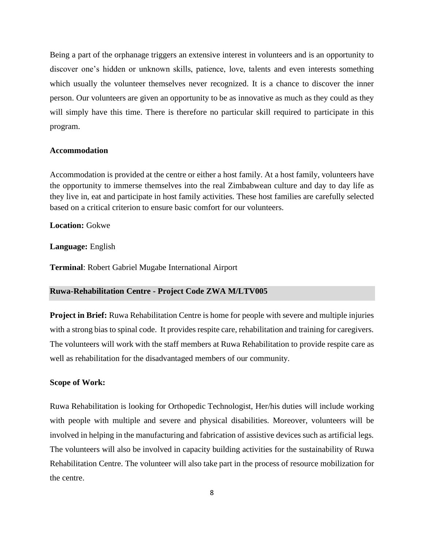Being a part of the orphanage triggers an extensive interest in volunteers and is an opportunity to discover one's hidden or unknown skills, patience, love, talents and even interests something which usually the volunteer themselves never recognized. It is a chance to discover the inner person. Our volunteers are given an opportunity to be as innovative as much as they could as they will simply have this time. There is therefore no particular skill required to participate in this program.

#### **Accommodation**

Accommodation is provided at the centre or either a host family. At a host family, volunteers have the opportunity to immerse themselves into the real Zimbabwean culture and day to day life as they live in, eat and participate in host family activities. These host families are carefully selected based on a critical criterion to ensure basic comfort for our volunteers.

**Location:** Gokwe

#### **Language:** English

**Terminal**: Robert Gabriel Mugabe International Airport

#### **Ruwa-Rehabilitation Centre - Project Code ZWA M/LTV005**

**Project in Brief:** Ruwa Rehabilitation Centre is home for people with severe and multiple injuries with a strong bias to spinal code. It provides respite care, rehabilitation and training for caregivers. The volunteers will work with the staff members at Ruwa Rehabilitation to provide respite care as well as rehabilitation for the disadvantaged members of our community.

#### **Scope of Work:**

Ruwa Rehabilitation is looking for Orthopedic Technologist, Her/his duties will include working with people with multiple and severe and physical disabilities. Moreover, volunteers will be involved in helping in the manufacturing and fabrication of assistive devices such as artificial legs. The volunteers will also be involved in capacity building activities for the sustainability of Ruwa Rehabilitation Centre. The volunteer will also take part in the process of resource mobilization for the centre.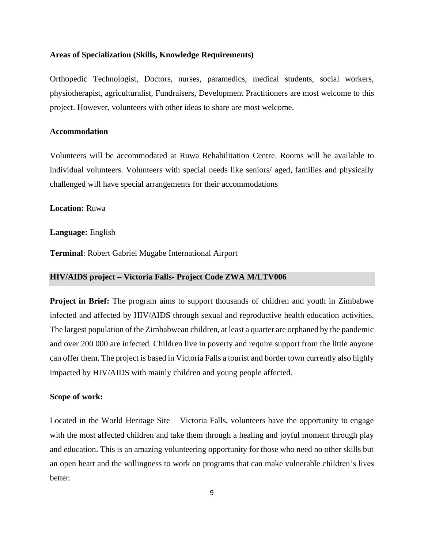# **Areas of Specialization (Skills, Knowledge Requirements)**

Orthopedic Technologist, Doctors, nurses, paramedics, medical students, social workers, physiotherapist, agriculturalist, Fundraisers, Development Practitioners are most welcome to this project. However, volunteers with other ideas to share are most welcome.

#### **Accommodation**

Volunteers will be accommodated at Ruwa Rehabilitation Centre. Rooms will be available to individual volunteers. Volunteers with special needs like seniors/ aged, families and physically challenged will have special arrangements for their accommodations

#### **Location:** Ruwa

#### **Language:** English

**Terminal**: Robert Gabriel Mugabe International Airport

#### **HIV/AIDS project – Victoria Falls- Project Code ZWA M/LTV006**

**Project in Brief:** The program aims to support thousands of children and youth in Zimbabwe infected and affected by HIV/AIDS through sexual and reproductive health education activities. The largest population of the Zimbabwean children, at least a quarter are orphaned by the pandemic and over 200 000 are infected. Children live in poverty and require support from the little anyone can offer them. The project is based in Victoria Falls a tourist and border town currently also highly impacted by HIV/AIDS with mainly children and young people affected.

#### **Scope of work:**

Located in the World Heritage Site – Victoria Falls, volunteers have the opportunity to engage with the most affected children and take them through a healing and joyful moment through play and education. This is an amazing volunteering opportunity for those who need no other skills but an open heart and the willingness to work on programs that can make vulnerable children's lives better.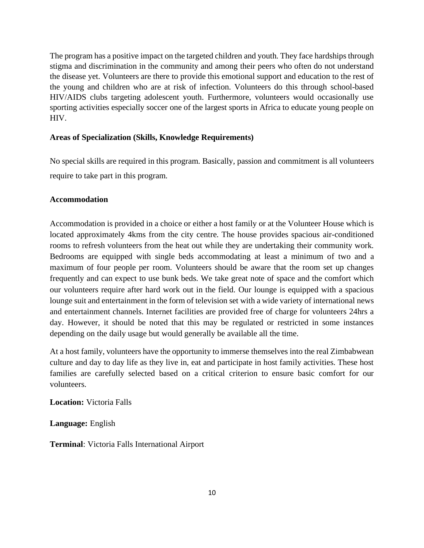The program has a positive impact on the targeted children and youth. They face hardships through stigma and discrimination in the community and among their peers who often do not understand the disease yet. Volunteers are there to provide this emotional support and education to the rest of the young and children who are at risk of infection. Volunteers do this through school-based HIV/AIDS clubs targeting adolescent youth. Furthermore, volunteers would occasionally use sporting activities especially soccer one of the largest sports in Africa to educate young people on HIV.

# **Areas of Specialization (Skills, Knowledge Requirements)**

No special skills are required in this program. Basically, passion and commitment is all volunteers require to take part in this program.

# **Accommodation**

Accommodation is provided in a choice or either a host family or at the Volunteer House which is located approximately 4kms from the city centre. The house provides spacious air-conditioned rooms to refresh volunteers from the heat out while they are undertaking their community work. Bedrooms are equipped with single beds accommodating at least a minimum of two and a maximum of four people per room. Volunteers should be aware that the room set up changes frequently and can expect to use bunk beds. We take great note of space and the comfort which our volunteers require after hard work out in the field. Our lounge is equipped with a spacious lounge suit and entertainment in the form of television set with a wide variety of international news and entertainment channels. Internet facilities are provided free of charge for volunteers 24hrs a day. However, it should be noted that this may be regulated or restricted in some instances depending on the daily usage but would generally be available all the time.

At a host family, volunteers have the opportunity to immerse themselves into the real Zimbabwean culture and day to day life as they live in, eat and participate in host family activities. These host families are carefully selected based on a critical criterion to ensure basic comfort for our volunteers.

**Location:** Victoria Falls

**Language:** English

**Terminal**: Victoria Falls International Airport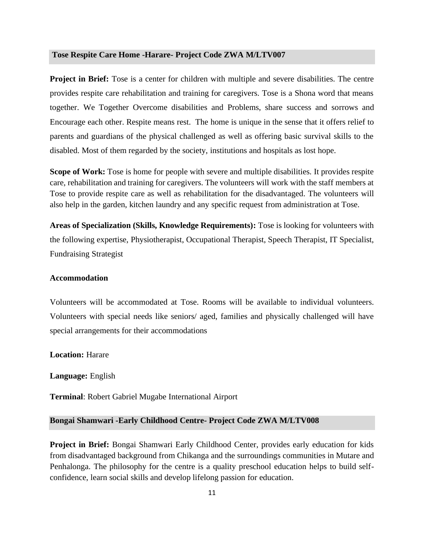#### **Tose Respite Care Home -Harare- Project Code ZWA M/LTV007**

**Project in Brief:** Tose is a center for children with multiple and severe disabilities. The centre provides respite care rehabilitation and training for caregivers. Tose is a Shona word that means together. We Together Overcome disabilities and Problems, share success and sorrows and Encourage each other. Respite means rest. The home is unique in the sense that it offers relief to parents and guardians of the physical challenged as well as offering basic survival skills to the disabled. Most of them regarded by the society, institutions and hospitals as lost hope.

**Scope of Work:** Tose is home for people with severe and multiple disabilities. It provides respite care, rehabilitation and training for caregivers. The volunteers will work with the staff members at Tose to provide respite care as well as rehabilitation for the disadvantaged. The volunteers will also help in the garden, kitchen laundry and any specific request from administration at Tose.

**Areas of Specialization (Skills, Knowledge Requirements):** Tose is looking for volunteers with the following expertise, Physiotherapist, Occupational Therapist, Speech Therapist, IT Specialist, Fundraising Strategist

#### **Accommodation**

Volunteers will be accommodated at Tose. Rooms will be available to individual volunteers. Volunteers with special needs like seniors/ aged, families and physically challenged will have special arrangements for their accommodations

**Location:** Harare

**Language:** English

**Terminal**: Robert Gabriel Mugabe International Airport

#### **Bongai Shamwari -Early Childhood Centre- Project Code ZWA M/LTV008**

**Project in Brief:** Bongai Shamwari Early Childhood Center, provides early education for kids from disadvantaged background from Chikanga and the surroundings communities in Mutare and Penhalonga. The philosophy for the centre is a quality preschool education helps to build selfconfidence, learn social skills and develop lifelong passion for education.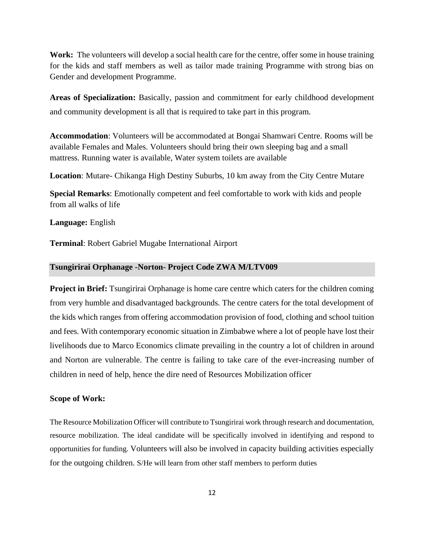**Work:** The volunteers will develop a social health care for the centre, offer some in house training for the kids and staff members as well as tailor made training Programme with strong bias on Gender and development Programme.

**Areas of Specialization:** Basically, passion and commitment for early childhood development and community development is all that is required to take part in this program.

**Accommodation**: Volunteers will be accommodated at Bongai Shamwari Centre. Rooms will be available Females and Males. Volunteers should bring their own sleeping bag and a small mattress. Running water is available, Water system toilets are available

**Location**: Mutare- Chikanga High Destiny Suburbs, 10 km away from the City Centre Mutare

**Special Remarks**: Emotionally competent and feel comfortable to work with kids and people from all walks of life

**Language:** English

**Terminal**: Robert Gabriel Mugabe International Airport

#### **Tsungirirai Orphanage -Norton- Project Code ZWA M/LTV009**

**Project in Brief:** Tsungirirai Orphanage is home care centre which caters for the children coming from very humble and disadvantaged backgrounds. The centre caters for the total development of the kids which ranges from offering accommodation provision of food, clothing and school tuition and fees. With contemporary economic situation in Zimbabwe where a lot of people have lost their livelihoods due to Marco Economics climate prevailing in the country a lot of children in around and Norton are vulnerable. The centre is failing to take care of the ever-increasing number of children in need of help, hence the dire need of Resources Mobilization officer

#### **Scope of Work:**

The Resource Mobilization Officer will contribute to Tsungirirai work through research and documentation, resource mobilization. The ideal candidate will be specifically involved in identifying and respond to opportunities for funding. Volunteers will also be involved in capacity building activities especially for the outgoing children. S/He will learn from other staff members to perform duties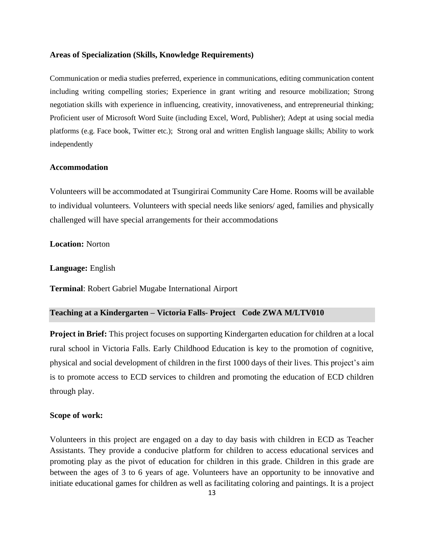#### **Areas of Specialization (Skills, Knowledge Requirements)**

Communication or media studies preferred, experience in communications, editing communication content including writing compelling stories; Experience in grant writing and resource mobilization; Strong negotiation skills with experience in influencing, creativity, innovativeness, and entrepreneurial thinking; Proficient user of Microsoft Word Suite (including Excel, Word, Publisher); Adept at using social media platforms (e.g. Face book, Twitter etc.); Strong oral and written English language skills; Ability to work independently

# **Accommodation**

Volunteers will be accommodated at Tsungirirai Community Care Home. Rooms will be available to individual volunteers. Volunteers with special needs like seniors/ aged, families and physically challenged will have special arrangements for their accommodations

**Location:** Norton

**Language:** English

**Terminal**: Robert Gabriel Mugabe International Airport

#### **Teaching at a Kindergarten – Victoria Falls- Project Code ZWA M/LTV010**

**Project in Brief:** This project focuses on supporting Kindergarten education for children at a local rural school in Victoria Falls. Early Childhood Education is key to the promotion of cognitive, physical and social development of children in the first 1000 days of their lives. This project's aim is to promote access to ECD services to children and promoting the education of ECD children through play.

#### **Scope of work:**

Volunteers in this project are engaged on a day to day basis with children in ECD as Teacher Assistants. They provide a conducive platform for children to access educational services and promoting play as the pivot of education for children in this grade. Children in this grade are between the ages of 3 to 6 years of age. Volunteers have an opportunity to be innovative and initiate educational games for children as well as facilitating coloring and paintings. It is a project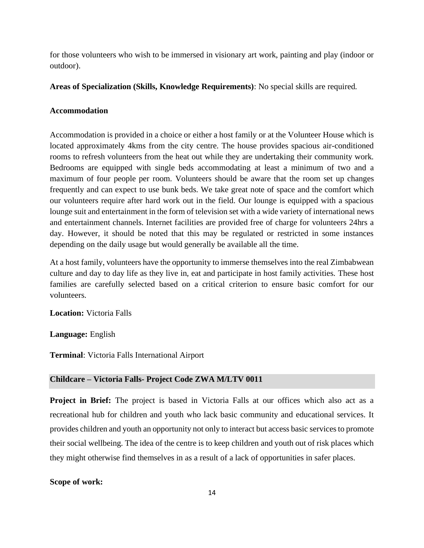for those volunteers who wish to be immersed in visionary art work, painting and play (indoor or outdoor).

**Areas of Specialization (Skills, Knowledge Requirements)**: No special skills are required.

# **Accommodation**

Accommodation is provided in a choice or either a host family or at the Volunteer House which is located approximately 4kms from the city centre. The house provides spacious air-conditioned rooms to refresh volunteers from the heat out while they are undertaking their community work. Bedrooms are equipped with single beds accommodating at least a minimum of two and a maximum of four people per room. Volunteers should be aware that the room set up changes frequently and can expect to use bunk beds. We take great note of space and the comfort which our volunteers require after hard work out in the field. Our lounge is equipped with a spacious lounge suit and entertainment in the form of television set with a wide variety of international news and entertainment channels. Internet facilities are provided free of charge for volunteers 24hrs a day. However, it should be noted that this may be regulated or restricted in some instances depending on the daily usage but would generally be available all the time.

At a host family, volunteers have the opportunity to immerse themselves into the real Zimbabwean culture and day to day life as they live in, eat and participate in host family activities. These host families are carefully selected based on a critical criterion to ensure basic comfort for our volunteers.

**Location:** Victoria Falls

**Language:** English

**Terminal**: Victoria Falls International Airport

#### **Childcare – Victoria Falls- Project Code ZWA M/LTV 0011**

**Project in Brief:** The project is based in Victoria Falls at our offices which also act as a recreational hub for children and youth who lack basic community and educational services. It provides children and youth an opportunity not only to interact but access basic services to promote their social wellbeing. The idea of the centre is to keep children and youth out of risk places which they might otherwise find themselves in as a result of a lack of opportunities in safer places.

#### **Scope of work:**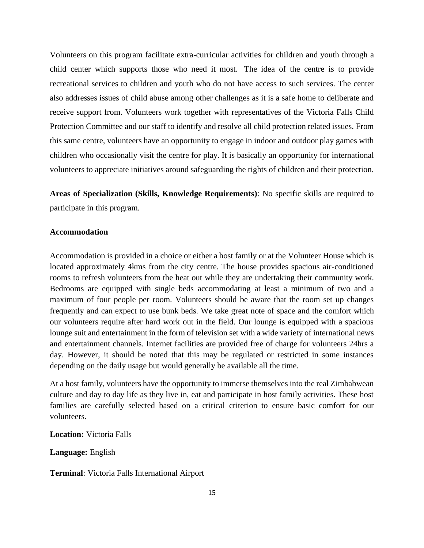Volunteers on this program facilitate extra-curricular activities for children and youth through a child center which supports those who need it most. The idea of the centre is to provide recreational services to children and youth who do not have access to such services. The center also addresses issues of child abuse among other challenges as it is a safe home to deliberate and receive support from. Volunteers work together with representatives of the Victoria Falls Child Protection Committee and our staff to identify and resolve all child protection related issues. From this same centre, volunteers have an opportunity to engage in indoor and outdoor play games with children who occasionally visit the centre for play. It is basically an opportunity for international volunteers to appreciate initiatives around safeguarding the rights of children and their protection.

**Areas of Specialization (Skills, Knowledge Requirements)**: No specific skills are required to participate in this program.

#### **Accommodation**

Accommodation is provided in a choice or either a host family or at the Volunteer House which is located approximately 4kms from the city centre. The house provides spacious air-conditioned rooms to refresh volunteers from the heat out while they are undertaking their community work. Bedrooms are equipped with single beds accommodating at least a minimum of two and a maximum of four people per room. Volunteers should be aware that the room set up changes frequently and can expect to use bunk beds. We take great note of space and the comfort which our volunteers require after hard work out in the field. Our lounge is equipped with a spacious lounge suit and entertainment in the form of television set with a wide variety of international news and entertainment channels. Internet facilities are provided free of charge for volunteers 24hrs a day. However, it should be noted that this may be regulated or restricted in some instances depending on the daily usage but would generally be available all the time.

At a host family, volunteers have the opportunity to immerse themselves into the real Zimbabwean culture and day to day life as they live in, eat and participate in host family activities. These host families are carefully selected based on a critical criterion to ensure basic comfort for our volunteers.

**Location:** Victoria Falls

**Language:** English

**Terminal**: Victoria Falls International Airport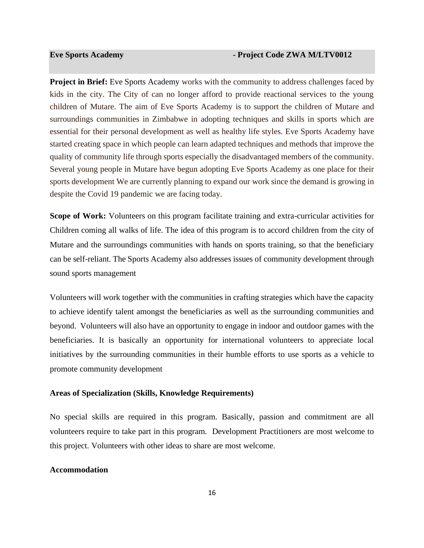**Project in Brief:** Eve Sports Academy works with the community to address challenges faced by kids in the city. The City of can no longer afford to provide reactional services to the young children of Mutare. The aim of Eve Sports Academy is to support the children of Mutare and surroundings communities in Zimbabwe in adopting techniques and skills in sports which are essential for their personal development as well as healthy life styles. Eve Sports Academy have started creating space in which people can learn adapted techniques and methods that improve the quality of community life through sports especially the disadvantaged members of the community. Several young people in Mutare have begun adopting Eve Sports Academy as one place for their sports development We are currently planning to expand our work since the demand is growing in despite the Covid 19 pandemic we are facing today.

**Scope of Work:** Volunteers on this program facilitate training and extra-curricular activities for Children coming all walks of life. The idea of this program is to accord children from the city of Mutare and the surroundings communities with hands on sports training, so that the beneficiary can be self-reliant. The Sports Academy also addresses issues of community development through sound sports management

Volunteers will work together with the communities in crafting strategies which have the capacity to achieve identify talent amongst the beneficiaries as well as the surrounding communities and beyond. Volunteers will also have an opportunity to engage in indoor and outdoor games with the beneficiaries. It is basically an opportunity for international volunteers to appreciate local initiatives by the surrounding communities in their humble efforts to use sports as a vehicle to promote community development

#### **Areas of Specialization (Skills, Knowledge Requirements)**

No special skills are required in this program. Basically, passion and commitment are all volunteers require to take part in this program. Development Practitioners are most welcome to this project. Volunteers with other ideas to share are most welcome.

#### **Accommodation**